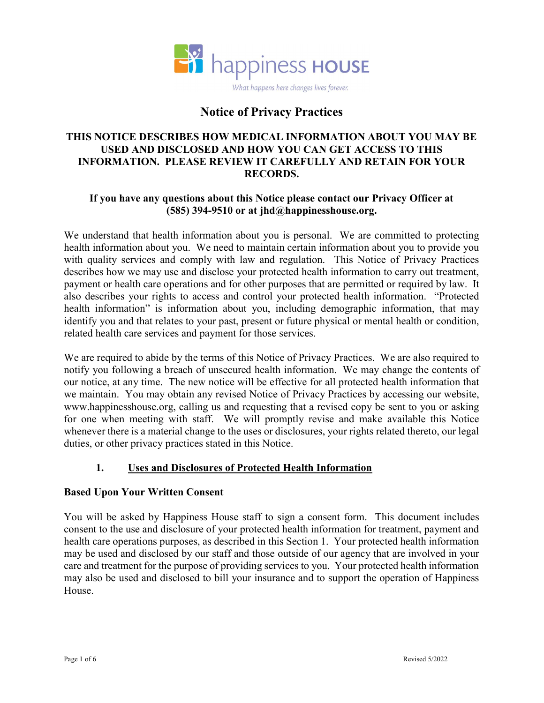

# Notice of Privacy Practices

#### THIS NOTICE DESCRIBES HOW MEDICAL INFORMATION ABOUT YOU MAY BE USED AND DISCLOSED AND HOW YOU CAN GET ACCESS TO THIS INFORMATION. PLEASE REVIEW IT CAREFULLY AND RETAIN FOR YOUR RECORDS.

#### If you have any questions about this Notice please contact our Privacy Officer at (585) 394-9510 or at jhd@happinesshouse.org.

We understand that health information about you is personal. We are committed to protecting health information about you. We need to maintain certain information about you to provide you with quality services and comply with law and regulation. This Notice of Privacy Practices describes how we may use and disclose your protected health information to carry out treatment, payment or health care operations and for other purposes that are permitted or required by law. It also describes your rights to access and control your protected health information. "Protected health information" is information about you, including demographic information, that may identify you and that relates to your past, present or future physical or mental health or condition, related health care services and payment for those services.

We are required to abide by the terms of this Notice of Privacy Practices. We are also required to notify you following a breach of unsecured health information. We may change the contents of our notice, at any time. The new notice will be effective for all protected health information that we maintain. You may obtain any revised Notice of Privacy Practices by accessing our website, www.happinesshouse.org, calling us and requesting that a revised copy be sent to you or asking for one when meeting with staff. We will promptly revise and make available this Notice whenever there is a material change to the uses or disclosures, your rights related thereto, our legal duties, or other privacy practices stated in this Notice.

#### 1. Uses and Disclosures of Protected Health Information

#### Based Upon Your Written Consent

You will be asked by Happiness House staff to sign a consent form. This document includes consent to the use and disclosure of your protected health information for treatment, payment and health care operations purposes, as described in this Section 1. Your protected health information may be used and disclosed by our staff and those outside of our agency that are involved in your care and treatment for the purpose of providing services to you. Your protected health information may also be used and disclosed to bill your insurance and to support the operation of Happiness House.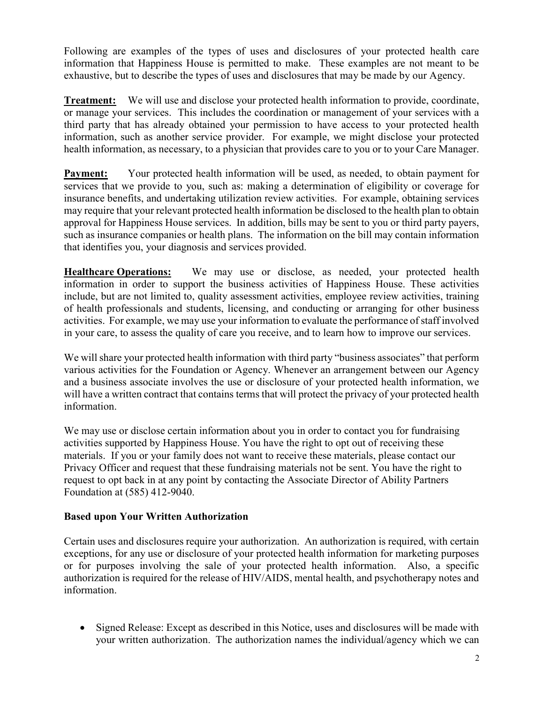Following are examples of the types of uses and disclosures of your protected health care information that Happiness House is permitted to make. These examples are not meant to be exhaustive, but to describe the types of uses and disclosures that may be made by our Agency.

Treatment: We will use and disclose your protected health information to provide, coordinate, or manage your services. This includes the coordination or management of your services with a third party that has already obtained your permission to have access to your protected health information, such as another service provider. For example, we might disclose your protected health information, as necessary, to a physician that provides care to you or to your Care Manager.

Payment: Your protected health information will be used, as needed, to obtain payment for services that we provide to you, such as: making a determination of eligibility or coverage for insurance benefits, and undertaking utilization review activities. For example, obtaining services may require that your relevant protected health information be disclosed to the health plan to obtain approval for Happiness House services. In addition, bills may be sent to you or third party payers, such as insurance companies or health plans. The information on the bill may contain information that identifies you, your diagnosis and services provided.

Healthcare Operations: We may use or disclose, as needed, your protected health information in order to support the business activities of Happiness House. These activities include, but are not limited to, quality assessment activities, employee review activities, training of health professionals and students, licensing, and conducting or arranging for other business activities. For example, we may use your information to evaluate the performance of staff involved in your care, to assess the quality of care you receive, and to learn how to improve our services.

We will share your protected health information with third party "business associates" that perform various activities for the Foundation or Agency. Whenever an arrangement between our Agency and a business associate involves the use or disclosure of your protected health information, we will have a written contract that contains terms that will protect the privacy of your protected health information.

We may use or disclose certain information about you in order to contact you for fundraising activities supported by Happiness House. You have the right to opt out of receiving these materials. If you or your family does not want to receive these materials, please contact our Privacy Officer and request that these fundraising materials not be sent. You have the right to request to opt back in at any point by contacting the Associate Director of Ability Partners Foundation at (585) 412-9040.

#### Based upon Your Written Authorization

Certain uses and disclosures require your authorization. An authorization is required, with certain exceptions, for any use or disclosure of your protected health information for marketing purposes or for purposes involving the sale of your protected health information. Also, a specific authorization is required for the release of HIV/AIDS, mental health, and psychotherapy notes and information.

 Signed Release: Except as described in this Notice, uses and disclosures will be made with your written authorization. The authorization names the individual/agency which we can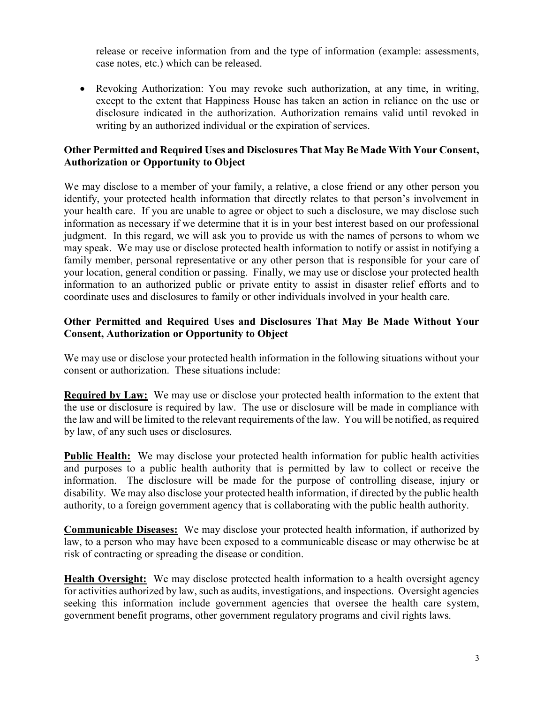release or receive information from and the type of information (example: assessments, case notes, etc.) which can be released.

 Revoking Authorization: You may revoke such authorization, at any time, in writing, except to the extent that Happiness House has taken an action in reliance on the use or disclosure indicated in the authorization. Authorization remains valid until revoked in writing by an authorized individual or the expiration of services.

### Other Permitted and Required Uses and Disclosures That May Be Made With Your Consent, Authorization or Opportunity to Object

We may disclose to a member of your family, a relative, a close friend or any other person you identify, your protected health information that directly relates to that person's involvement in your health care. If you are unable to agree or object to such a disclosure, we may disclose such information as necessary if we determine that it is in your best interest based on our professional judgment. In this regard, we will ask you to provide us with the names of persons to whom we may speak. We may use or disclose protected health information to notify or assist in notifying a family member, personal representative or any other person that is responsible for your care of your location, general condition or passing. Finally, we may use or disclose your protected health information to an authorized public or private entity to assist in disaster relief efforts and to coordinate uses and disclosures to family or other individuals involved in your health care.

#### Other Permitted and Required Uses and Disclosures That May Be Made Without Your Consent, Authorization or Opportunity to Object

We may use or disclose your protected health information in the following situations without your consent or authorization. These situations include:

Required by Law: We may use or disclose your protected health information to the extent that the use or disclosure is required by law. The use or disclosure will be made in compliance with the law and will be limited to the relevant requirements of the law. You will be notified, as required by law, of any such uses or disclosures.

Public Health: We may disclose your protected health information for public health activities and purposes to a public health authority that is permitted by law to collect or receive the information. The disclosure will be made for the purpose of controlling disease, injury or disability. We may also disclose your protected health information, if directed by the public health authority, to a foreign government agency that is collaborating with the public health authority.

Communicable Diseases: We may disclose your protected health information, if authorized by law, to a person who may have been exposed to a communicable disease or may otherwise be at risk of contracting or spreading the disease or condition.

Health Oversight: We may disclose protected health information to a health oversight agency for activities authorized by law, such as audits, investigations, and inspections. Oversight agencies seeking this information include government agencies that oversee the health care system, government benefit programs, other government regulatory programs and civil rights laws.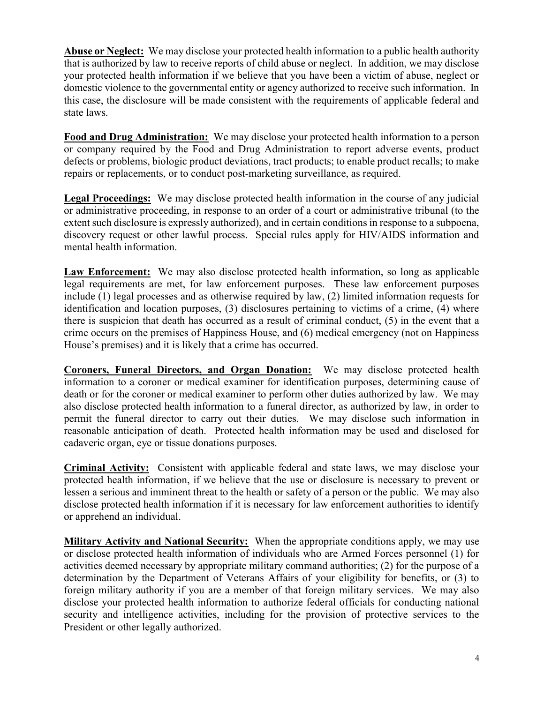Abuse or Neglect: We may disclose your protected health information to a public health authority that is authorized by law to receive reports of child abuse or neglect. In addition, we may disclose your protected health information if we believe that you have been a victim of abuse, neglect or domestic violence to the governmental entity or agency authorized to receive such information. In this case, the disclosure will be made consistent with the requirements of applicable federal and state laws.

Food and Drug Administration: We may disclose your protected health information to a person or company required by the Food and Drug Administration to report adverse events, product defects or problems, biologic product deviations, tract products; to enable product recalls; to make repairs or replacements, or to conduct post-marketing surveillance, as required.

Legal Proceedings: We may disclose protected health information in the course of any judicial or administrative proceeding, in response to an order of a court or administrative tribunal (to the extent such disclosure is expressly authorized), and in certain conditions in response to a subpoena, discovery request or other lawful process. Special rules apply for HIV/AIDS information and mental health information.

Law Enforcement: We may also disclose protected health information, so long as applicable legal requirements are met, for law enforcement purposes. These law enforcement purposes include (1) legal processes and as otherwise required by law, (2) limited information requests for identification and location purposes, (3) disclosures pertaining to victims of a crime, (4) where there is suspicion that death has occurred as a result of criminal conduct, (5) in the event that a crime occurs on the premises of Happiness House, and (6) medical emergency (not on Happiness House's premises) and it is likely that a crime has occurred.

Coroners, Funeral Directors, and Organ Donation: We may disclose protected health information to a coroner or medical examiner for identification purposes, determining cause of death or for the coroner or medical examiner to perform other duties authorized by law. We may also disclose protected health information to a funeral director, as authorized by law, in order to permit the funeral director to carry out their duties. We may disclose such information in reasonable anticipation of death. Protected health information may be used and disclosed for cadaveric organ, eye or tissue donations purposes.

Criminal Activity: Consistent with applicable federal and state laws, we may disclose your protected health information, if we believe that the use or disclosure is necessary to prevent or lessen a serious and imminent threat to the health or safety of a person or the public. We may also disclose protected health information if it is necessary for law enforcement authorities to identify or apprehend an individual.

Military Activity and National Security: When the appropriate conditions apply, we may use or disclose protected health information of individuals who are Armed Forces personnel (1) for activities deemed necessary by appropriate military command authorities; (2) for the purpose of a determination by the Department of Veterans Affairs of your eligibility for benefits, or (3) to foreign military authority if you are a member of that foreign military services. We may also disclose your protected health information to authorize federal officials for conducting national security and intelligence activities, including for the provision of protective services to the President or other legally authorized.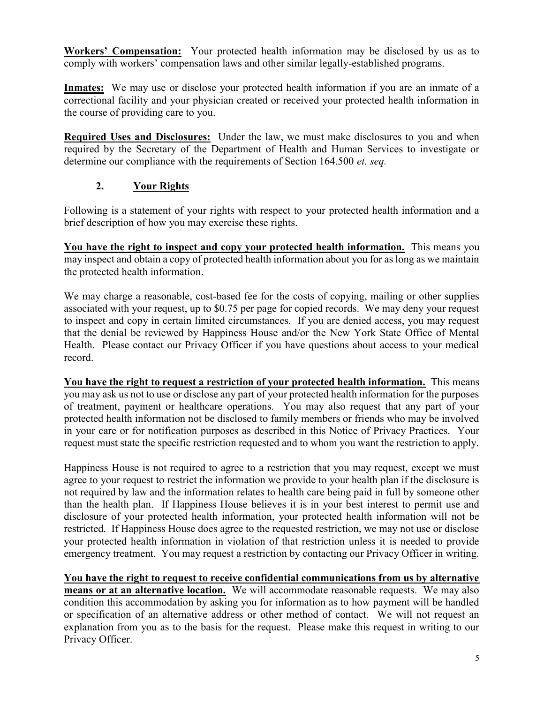Workers' Compensation: Your protected health information may be disclosed by us as to comply with workers' compensation laws and other similar legally-established programs.

Inmates: We may use or disclose your protected health information if you are an inmate of a correctional facility and your physician created or received your protected health information in the course of providing care to you.

Required Uses and Disclosures: Under the law, we must make disclosures to you and when required by the Secretary of the Department of Health and Human Services to investigate or determine our compliance with the requirements of Section 164.500 *et. seq.* 

# 2. Your Rights

Following is a statement of your rights with respect to your protected health information and a brief description of how you may exercise these rights.

You have the right to inspect and copy your protected health information. This means you may inspect and obtain a copy of protected health information about you for as long as we maintain the protected health information.

We may charge a reasonable, cost-based fee for the costs of copying, mailing or other supplies associated with your request, up to \$0.75 per page for copied records. We may deny your request to inspect and copy in certain limited circumstances. If you are denied access, you may request that the denial be reviewed by Happiness House and/or the New York State Office of Mental Health. Please contact our Privacy Officer if you have questions about access to your medical record.

You have the right to request a restriction of your protected health information. This means you may ask us not to use or disclose any part of your protected health information for the purposes of treatment, payment or healthcare operations. You may also request that any part of your protected health information not be disclosed to family members or friends who may be involved in your care or for notification purposes as described in this Notice of Privacy Practices. Your request must state the specific restriction requested and to whom you want the restriction to apply.

Happiness House is not required to agree to a restriction that you may request, except we must agree to your request to restrict the information we provide to your health plan if the disclosure is not required by law and the information relates to health care being paid in full by someone other than the health plan. If Happiness House believes it is in your best interest to permit use and disclosure of your protected health information, your protected health information will not be restricted. If Happiness House does agree to the requested restriction, we may not use or disclose your protected health information in violation of that restriction unless it is needed to provide emergency treatment. You may request a restriction by contacting our Privacy Officer in writing.

You have the right to request to receive confidential communications from us by alternative means or at an alternative location. We will accommodate reasonable requests. We may also condition this accommodation by asking you for information as to how payment will be handled or specification of an alternative address or other method of contact. We will not request an explanation from you as to the basis for the request. Please make this request in writing to our Privacy Officer.